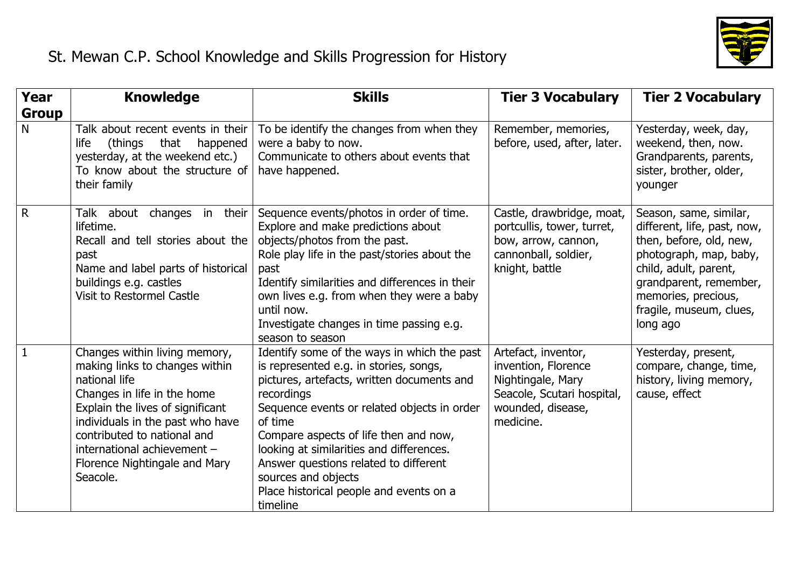

| <b>Year</b>  | <b>Knowledge</b>                                                                                                                                                                                                                                                                                   | <b>Skills</b>                                                                                                                                                                                                                                                                                                                                                                                                           | <b>Tier 3 Vocabulary</b>                                                                                                        | <b>Tier 2 Vocabulary</b>                                                                                                                                                                                                    |
|--------------|----------------------------------------------------------------------------------------------------------------------------------------------------------------------------------------------------------------------------------------------------------------------------------------------------|-------------------------------------------------------------------------------------------------------------------------------------------------------------------------------------------------------------------------------------------------------------------------------------------------------------------------------------------------------------------------------------------------------------------------|---------------------------------------------------------------------------------------------------------------------------------|-----------------------------------------------------------------------------------------------------------------------------------------------------------------------------------------------------------------------------|
| <b>Group</b> |                                                                                                                                                                                                                                                                                                    |                                                                                                                                                                                                                                                                                                                                                                                                                         |                                                                                                                                 |                                                                                                                                                                                                                             |
| N            | Talk about recent events in their<br>(things<br>that<br>happened<br>life<br>yesterday, at the weekend etc.)<br>To know about the structure of<br>their family                                                                                                                                      | To be identify the changes from when they<br>were a baby to now.<br>Communicate to others about events that<br>have happened.                                                                                                                                                                                                                                                                                           | Remember, memories,<br>before, used, after, later.                                                                              | Yesterday, week, day,<br>weekend, then, now.<br>Grandparents, parents,<br>sister, brother, older,<br>younger                                                                                                                |
| $\mathsf{R}$ | Talk about<br>changes in their<br>lifetime.<br>Recall and tell stories about the<br>past<br>Name and label parts of historical<br>buildings e.g. castles<br>Visit to Restormel Castle                                                                                                              | Sequence events/photos in order of time.<br>Explore and make predictions about<br>objects/photos from the past.<br>Role play life in the past/stories about the<br>past<br>Identify similarities and differences in their<br>own lives e.g. from when they were a baby<br>until now.<br>Investigate changes in time passing e.g.<br>season to season                                                                    | Castle, drawbridge, moat,<br>portcullis, tower, turret,<br>bow, arrow, cannon,<br>cannonball, soldier,<br>knight, battle        | Season, same, similar,<br>different, life, past, now,<br>then, before, old, new,<br>photograph, map, baby,<br>child, adult, parent,<br>grandparent, remember,<br>memories, precious,<br>fragile, museum, clues,<br>long ago |
| $\mathbf{1}$ | Changes within living memory,<br>making links to changes within<br>national life<br>Changes in life in the home<br>Explain the lives of significant<br>individuals in the past who have<br>contributed to national and<br>international achievement -<br>Florence Nightingale and Mary<br>Seacole. | Identify some of the ways in which the past<br>is represented e.g. in stories, songs,<br>pictures, artefacts, written documents and<br>recordings<br>Sequence events or related objects in order<br>of time<br>Compare aspects of life then and now,<br>looking at similarities and differences.<br>Answer questions related to different<br>sources and objects<br>Place historical people and events on a<br>timeline | Artefact, inventor,<br>invention, Florence<br>Nightingale, Mary<br>Seacole, Scutari hospital,<br>wounded, disease,<br>medicine. | Yesterday, present,<br>compare, change, time,<br>history, living memory,<br>cause, effect                                                                                                                                   |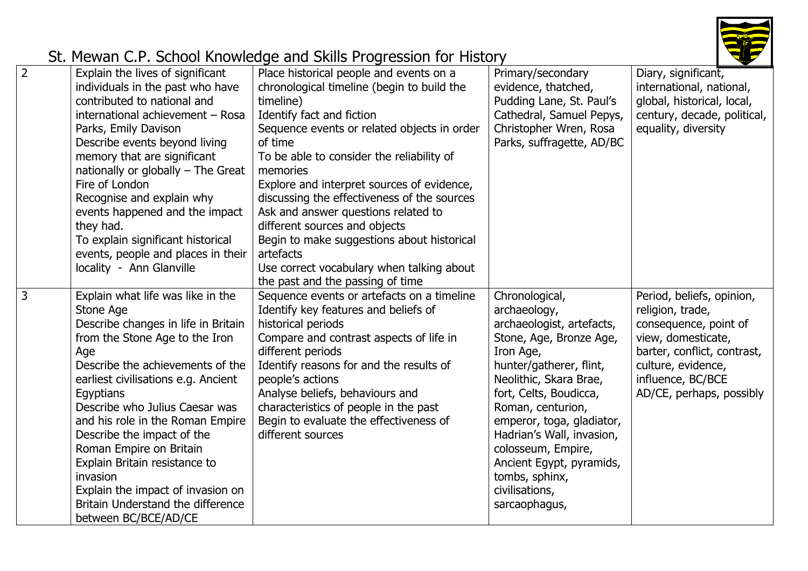

| $\overline{2}$ | Explain the lives of significant<br>individuals in the past who have<br>contributed to national and<br>international achievement - Rosa<br>Parks, Emily Davison<br>Describe events beyond living<br>memory that are significant<br>nationally or globally $-$ The Great<br>Fire of London<br>Recognise and explain why<br>events happened and the impact<br>they had.<br>To explain significant historical<br>events, people and places in their<br>locality - Ann Glanville                         | Place historical people and events on a<br>chronological timeline (begin to build the<br>timeline)<br>Identify fact and fiction<br>Sequence events or related objects in order<br>of time<br>To be able to consider the reliability of<br>memories<br>Explore and interpret sources of evidence,<br>discussing the effectiveness of the sources<br>Ask and answer questions related to<br>different sources and objects<br>Begin to make suggestions about historical<br>artefacts<br>Use correct vocabulary when talking about<br>the past and the passing of time | Primary/secondary<br>evidence, thatched,<br>Pudding Lane, St. Paul's<br>Cathedral, Samuel Pepys,<br>Christopher Wren, Rosa<br>Parks, suffragette, AD/BC                                                                                                                                                                                                                  | Diary, significant,<br>international, national,<br>global, historical, local,<br>century, decade, political,<br>equality, diversity                                                                |
|----------------|------------------------------------------------------------------------------------------------------------------------------------------------------------------------------------------------------------------------------------------------------------------------------------------------------------------------------------------------------------------------------------------------------------------------------------------------------------------------------------------------------|---------------------------------------------------------------------------------------------------------------------------------------------------------------------------------------------------------------------------------------------------------------------------------------------------------------------------------------------------------------------------------------------------------------------------------------------------------------------------------------------------------------------------------------------------------------------|--------------------------------------------------------------------------------------------------------------------------------------------------------------------------------------------------------------------------------------------------------------------------------------------------------------------------------------------------------------------------|----------------------------------------------------------------------------------------------------------------------------------------------------------------------------------------------------|
| 3              | Explain what life was like in the<br>Stone Age<br>Describe changes in life in Britain<br>from the Stone Age to the Iron<br>Age<br>Describe the achievements of the<br>earliest civilisations e.g. Ancient<br>Egyptians<br>Describe who Julius Caesar was<br>and his role in the Roman Empire<br>Describe the impact of the<br>Roman Empire on Britain<br>Explain Britain resistance to<br>invasion<br>Explain the impact of invasion on<br>Britain Understand the difference<br>between BC/BCE/AD/CE | Sequence events or artefacts on a timeline<br>Identify key features and beliefs of<br>historical periods<br>Compare and contrast aspects of life in<br>different periods<br>Identify reasons for and the results of<br>people's actions<br>Analyse beliefs, behaviours and<br>characteristics of people in the past<br>Begin to evaluate the effectiveness of<br>different sources                                                                                                                                                                                  | Chronological,<br>archaeology,<br>archaeologist, artefacts,<br>Stone, Age, Bronze Age,<br>Iron Age,<br>hunter/gatherer, flint,<br>Neolithic, Skara Brae,<br>fort, Celts, Boudicca,<br>Roman, centurion,<br>emperor, toga, gladiator,<br>Hadrian's Wall, invasion,<br>colosseum, Empire,<br>Ancient Egypt, pyramids,<br>tombs, sphinx,<br>civilisations,<br>sarcaophagus, | Period, beliefs, opinion,<br>religion, trade,<br>consequence, point of<br>view, domesticate,<br>barter, conflict, contrast,<br>culture, evidence,<br>influence, BC/BCE<br>AD/CE, perhaps, possibly |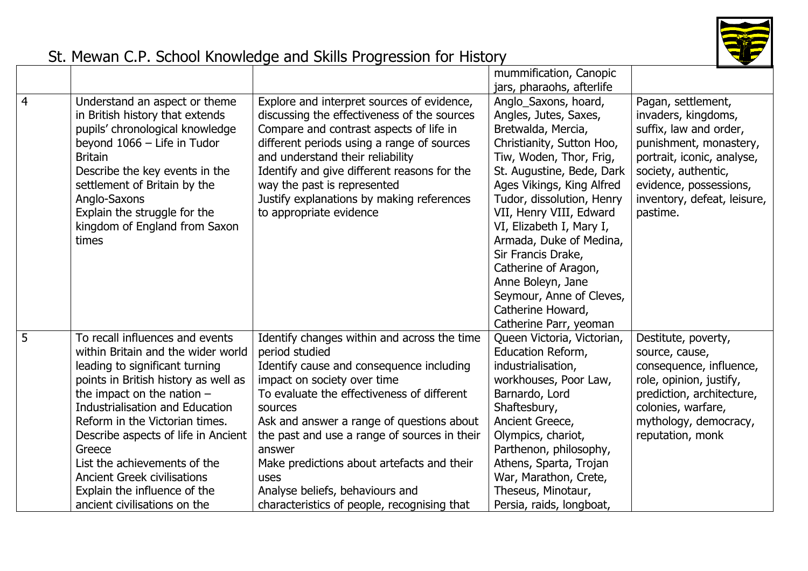

|                |                                        |                                              | mummification, Canopic     |                             |
|----------------|----------------------------------------|----------------------------------------------|----------------------------|-----------------------------|
|                |                                        |                                              | jars, pharaohs, afterlife  |                             |
| $\overline{4}$ | Understand an aspect or theme          | Explore and interpret sources of evidence,   | Anglo_Saxons, hoard,       | Pagan, settlement,          |
|                | in British history that extends        | discussing the effectiveness of the sources  | Angles, Jutes, Saxes,      | invaders, kingdoms,         |
|                | pupils' chronological knowledge        | Compare and contrast aspects of life in      | Bretwalda, Mercia,         | suffix, law and order,      |
|                | beyond 1066 - Life in Tudor            | different periods using a range of sources   | Christianity, Sutton Hoo,  | punishment, monastery,      |
|                | <b>Britain</b>                         | and understand their reliability             | Tiw, Woden, Thor, Frig,    | portrait, iconic, analyse,  |
|                | Describe the key events in the         | Identify and give different reasons for the  | St. Augustine, Bede, Dark  | society, authentic,         |
|                | settlement of Britain by the           | way the past is represented                  | Ages Vikings, King Alfred  | evidence, possessions,      |
|                | Anglo-Saxons                           | Justify explanations by making references    | Tudor, dissolution, Henry  | inventory, defeat, leisure, |
|                | Explain the struggle for the           | to appropriate evidence                      | VII, Henry VIII, Edward    | pastime.                    |
|                | kingdom of England from Saxon          |                                              | VI, Elizabeth I, Mary I,   |                             |
|                | times                                  |                                              | Armada, Duke of Medina,    |                             |
|                |                                        |                                              | Sir Francis Drake,         |                             |
|                |                                        |                                              | Catherine of Aragon,       |                             |
|                |                                        |                                              | Anne Boleyn, Jane          |                             |
|                |                                        |                                              | Seymour, Anne of Cleves,   |                             |
|                |                                        |                                              | Catherine Howard,          |                             |
|                |                                        |                                              | Catherine Parr, yeoman     |                             |
| 5              | To recall influences and events        | Identify changes within and across the time  | Queen Victoria, Victorian, | Destitute, poverty,         |
|                | within Britain and the wider world     | period studied                               | Education Reform,          | source, cause,              |
|                | leading to significant turning         | Identify cause and consequence including     | industrialisation,         | consequence, influence,     |
|                | points in British history as well as   | impact on society over time                  | workhouses, Poor Law,      | role, opinion, justify,     |
|                | the impact on the nation $-$           | To evaluate the effectiveness of different   | Barnardo, Lord             | prediction, architecture,   |
|                | <b>Industrialisation and Education</b> | sources                                      | Shaftesbury,               | colonies, warfare,          |
|                | Reform in the Victorian times.         | Ask and answer a range of questions about    | Ancient Greece,            | mythology, democracy,       |
|                | Describe aspects of life in Ancient    | the past and use a range of sources in their | Olympics, chariot,         | reputation, monk            |
|                | Greece                                 | answer                                       | Parthenon, philosophy,     |                             |
|                | List the achievements of the           | Make predictions about artefacts and their   | Athens, Sparta, Trojan     |                             |
|                | <b>Ancient Greek civilisations</b>     | uses                                         | War, Marathon, Crete,      |                             |
|                | Explain the influence of the           | Analyse beliefs, behaviours and              | Theseus, Minotaur,         |                             |
|                | ancient civilisations on the           | characteristics of people, recognising that  | Persia, raids, longboat,   |                             |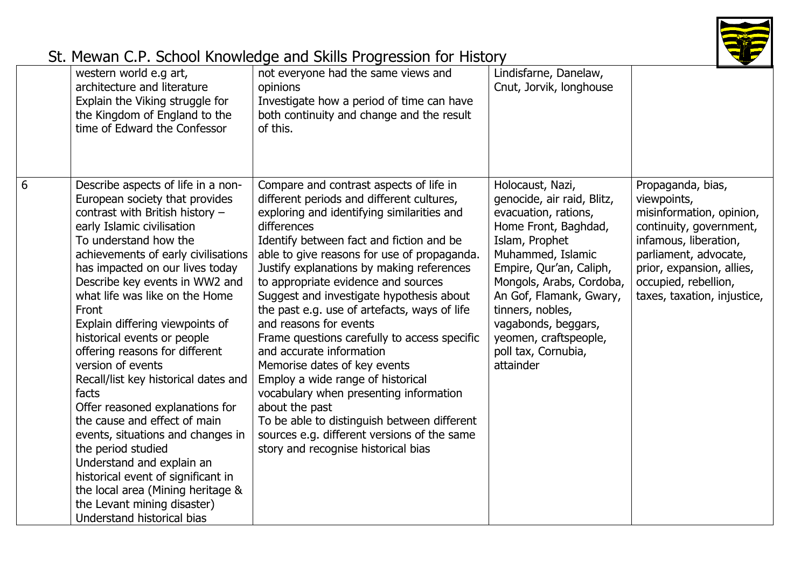

|   | western world e.g art,<br>architecture and literature<br>Explain the Viking struggle for<br>the Kingdom of England to the<br>time of Edward the Confessor                                                                                                                                                                                                                                                                                                                                                                                                                                                                                                                                                                                                                                          | not everyone had the same views and<br>opinions<br>Investigate how a period of time can have<br>both continuity and change and the result<br>of this.                                                                                                                                                                                                                                                                                                                                                                                                                                                                                                                                                                                                                                                    | Lindisfarne, Danelaw,<br>Cnut, Jorvik, longhouse                                                                                                                                                                                                                                                                                |                                                                                                                                                                                                                               |
|---|----------------------------------------------------------------------------------------------------------------------------------------------------------------------------------------------------------------------------------------------------------------------------------------------------------------------------------------------------------------------------------------------------------------------------------------------------------------------------------------------------------------------------------------------------------------------------------------------------------------------------------------------------------------------------------------------------------------------------------------------------------------------------------------------------|----------------------------------------------------------------------------------------------------------------------------------------------------------------------------------------------------------------------------------------------------------------------------------------------------------------------------------------------------------------------------------------------------------------------------------------------------------------------------------------------------------------------------------------------------------------------------------------------------------------------------------------------------------------------------------------------------------------------------------------------------------------------------------------------------------|---------------------------------------------------------------------------------------------------------------------------------------------------------------------------------------------------------------------------------------------------------------------------------------------------------------------------------|-------------------------------------------------------------------------------------------------------------------------------------------------------------------------------------------------------------------------------|
| 6 | Describe aspects of life in a non-<br>European society that provides<br>contrast with British history -<br>early Islamic civilisation<br>To understand how the<br>achievements of early civilisations<br>has impacted on our lives today<br>Describe key events in WW2 and<br>what life was like on the Home<br>Front<br>Explain differing viewpoints of<br>historical events or people<br>offering reasons for different<br>version of events<br>Recall/list key historical dates and<br>facts<br>Offer reasoned explanations for<br>the cause and effect of main<br>events, situations and changes in<br>the period studied<br>Understand and explain an<br>historical event of significant in<br>the local area (Mining heritage &<br>the Levant mining disaster)<br>Understand historical bias | Compare and contrast aspects of life in<br>different periods and different cultures,<br>exploring and identifying similarities and<br>differences<br>Identify between fact and fiction and be<br>able to give reasons for use of propaganda.<br>Justify explanations by making references<br>to appropriate evidence and sources<br>Suggest and investigate hypothesis about<br>the past e.g. use of artefacts, ways of life<br>and reasons for events<br>Frame questions carefully to access specific<br>and accurate information<br>Memorise dates of key events<br>Employ a wide range of historical<br>vocabulary when presenting information<br>about the past<br>To be able to distinguish between different<br>sources e.g. different versions of the same<br>story and recognise historical bias | Holocaust, Nazi,<br>genocide, air raid, Blitz,<br>evacuation, rations,<br>Home Front, Baghdad,<br>Islam, Prophet<br>Muhammed, Islamic<br>Empire, Qur'an, Caliph,<br>Mongols, Arabs, Cordoba,<br>An Gof, Flamank, Gwary,<br>tinners, nobles,<br>vagabonds, beggars,<br>yeomen, craftspeople,<br>poll tax, Cornubia,<br>attainder | Propaganda, bias,<br>viewpoints,<br>misinformation, opinion,<br>continuity, government,<br>infamous, liberation,<br>parliament, advocate,<br>prior, expansion, allies,<br>occupied, rebellion,<br>taxes, taxation, injustice, |